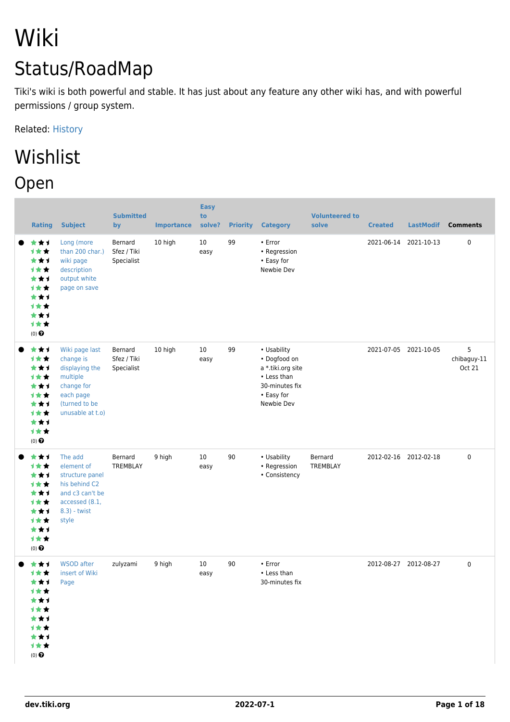# Wiki Status/RoadMap

Tiki's wiki is both powerful and stable. It has just about any feature any other wiki has, and with powerful permissions / group system.

Related: [History](https://dev.tiki.org/History)

## Wishlist Open

| <b>Rating</b>                                                                                            | <b>Subject</b>                                                                                                            | <b>Submitted</b><br>by               | <b>Importance</b> | <b>Easy</b><br>to<br>solve? | <b>Priority</b> | <b>Category</b>                                                                                               | <b>Volunteered to</b><br>solve | <b>Created</b> | <b>LastModif</b>      | <b>Comments</b>                   |
|----------------------------------------------------------------------------------------------------------|---------------------------------------------------------------------------------------------------------------------------|--------------------------------------|-------------------|-----------------------------|-----------------|---------------------------------------------------------------------------------------------------------------|--------------------------------|----------------|-----------------------|-----------------------------------|
| ***<br>1★★<br>★★1<br><b>1**</b><br>★★1<br><b>1**</b><br>***<br><b>1**</b><br>***<br>1★★<br>$(0)$ $\odot$ | Long (more<br>than 200 char.)<br>wiki page<br>description<br>output white<br>page on save                                 | Bernard<br>Sfez / Tiki<br>Specialist | 10 high           | 10<br>easy                  | 99              | • Error<br>• Regression<br>• Easy for<br>Newbie Dev                                                           |                                |                | 2021-06-14 2021-10-13 | $\pmb{0}$                         |
| ***<br>1★★<br>★★1<br><b>1**</b><br>***<br>1★★<br>***<br>1★★<br>***<br>计女女<br>(0)                         | Wiki page last<br>change is<br>displaying the<br>multiple<br>change for<br>each page<br>(turned to be<br>unusable at t.o) | Bernard<br>Sfez / Tiki<br>Specialist | 10 high           | 10<br>easy                  | 99              | • Usability<br>• Dogfood on<br>a *.tiki.org site<br>• Less than<br>30-minutes fix<br>• Easy for<br>Newbie Dev |                                |                | 2021-07-05 2021-10-05 | 5<br>chibaguy-11<br><b>Oct 21</b> |
| ***<br><b>1**</b><br>***<br>1★★<br>***<br><b>1**</b><br>***<br>1★★<br>***<br>计女女<br>$(0)$ $\odot$        | The add<br>element of<br>structure panel<br>his behind C2<br>and c3 can't be<br>accessed (8.1,<br>8.3) - twist<br>style   | Bernard<br>TREMBLAY                  | 9 high            | 10<br>easy                  | 90              | • Usability<br>• Regression<br>• Consistency                                                                  | Bernard<br>TREMBLAY            |                | 2012-02-16 2012-02-18 | 0                                 |
| ***<br>计女女<br>***<br>计女女<br>***<br>计女女<br>***<br>计女女<br>***<br>计女女<br>$(0)$ $\odot$                      | <b>WSOD</b> after<br>insert of Wiki<br>Page                                                                               | zulyzami                             | 9 high            | 10<br>easy                  | 90              | • Error<br>• Less than<br>30-minutes fix                                                                      |                                |                | 2012-08-27 2012-08-27 | 0                                 |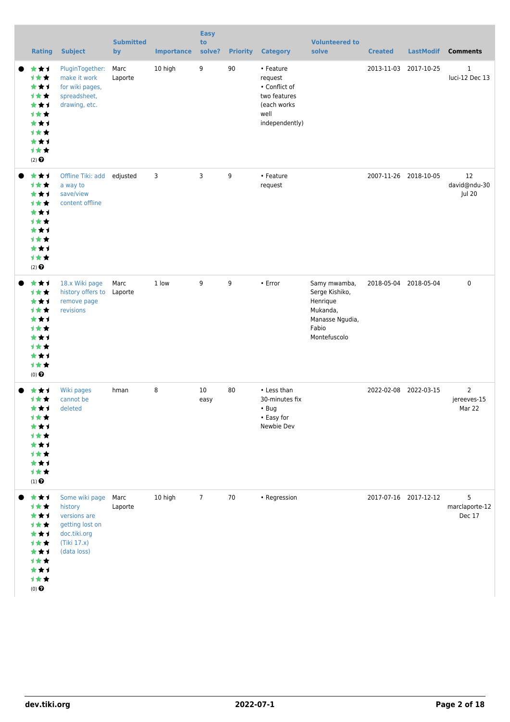| <b>Rating</b>                                                                                                                  | <b>Subject</b>                                                                                             | <b>Submitted</b><br>by | <b>Importance</b> | <b>Easy</b><br>to<br>solve? | <b>Priority</b> | <b>Category</b>                                                                                | <b>Volunteered to</b><br>solve                                                                     | <b>Created</b>        | <b>LastModif</b>      | <b>Comments</b>                         |
|--------------------------------------------------------------------------------------------------------------------------------|------------------------------------------------------------------------------------------------------------|------------------------|-------------------|-----------------------------|-----------------|------------------------------------------------------------------------------------------------|----------------------------------------------------------------------------------------------------|-----------------------|-----------------------|-----------------------------------------|
| ***<br>1★★<br>***<br>计女女<br>★★1<br><b>1**</b><br>***<br><b>1**</b><br>***<br>计女女<br>$(2)$ <sup><math>\odot</math></sup>        | PluginTogether:<br>make it work<br>for wiki pages,<br>spreadsheet,<br>drawing, etc.                        | Marc<br>Laporte        | 10 high           | 9                           | 90              | • Feature<br>request<br>• Conflict of<br>two features<br>(each works<br>well<br>independently) |                                                                                                    |                       | 2013-11-03 2017-10-25 | $\mathbf{1}$<br>luci-12 Dec 13          |
| ***<br>1★★<br>***<br><b>1**</b><br>***<br><b>1**</b><br>***<br><b>1**</b><br>***<br>计女女<br>$(2)$ <sup><math>\odot</math></sup> | Offline Tiki: add edjusted<br>a way to<br>save/view<br>content offline                                     |                        | 3                 | 3                           | 9               | • Feature<br>request                                                                           |                                                                                                    |                       | 2007-11-26 2018-10-05 | 12<br>david@ndu-30<br>Jul 20            |
| ***<br>1★★<br>***<br><b>1**</b><br>***<br><b>1**</b><br>***<br><b>1**</b><br>***<br>计女女<br>$(0)$ $\odot$                       | 18.x Wiki page<br>history offers to<br>remove page<br>revisions                                            | Marc<br>Laporte        | 1 low             | 9                           | 9               | • Error                                                                                        | Samy mwamba,<br>Serge Kishiko,<br>Henrique<br>Mukanda,<br>Manasse Ngudia,<br>Fabio<br>Montefuscolo | 2018-05-04 2018-05-04 |                       | $\mathsf 0$                             |
| ★★1<br><b>1**</b><br>***<br>计女女<br><b>1**</b><br>***<br><b>1**</b><br>***<br>计女女<br>$(1)$<br>$\pmb{\Theta}$                    | Wiki pages<br>cannot be<br>deleted                                                                         | hman                   | 8                 | 10<br>easy                  | 80              | • Less than<br>30-minutes fix<br>$\cdot$ Bug<br>• Easy for<br>Newbie Dev                       |                                                                                                    | 2022-02-08 2022-03-15 |                       | $\overline{2}$<br>jereeves-15<br>Mar 22 |
| ***<br>1★★<br>***<br>1★★<br>***<br><b>1**</b><br>***<br>计女女<br>***<br>计女女<br>$(0)$ $\odot$                                     | Some wiki page<br>history<br>versions are<br>getting lost on<br>doc.tiki.org<br>(Tiki 17.x)<br>(data loss) | Marc<br>Laporte        | 10 high           | $\overline{7}$              | 70              | • Regression                                                                                   |                                                                                                    | 2017-07-16 2017-12-12 |                       | 5<br>marclaporte-12<br>Dec 17           |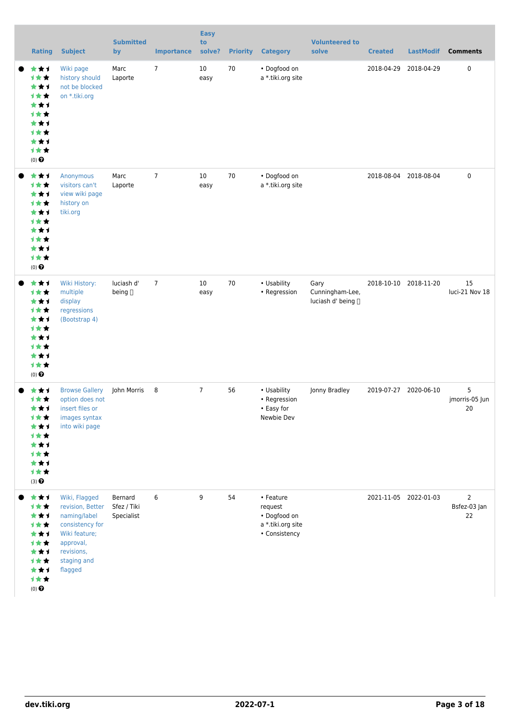| <b>Rating</b>                                                                                                                  | <b>Subject</b>                                                                                                                             | <b>Submitted</b><br>by               | <b>Importance</b> | <b>Easy</b><br>to<br>solve? | <b>Priority</b> | <b>Category</b>                                                            | <b>Volunteered to</b><br>solve                 | <b>Created</b>        | <b>LastModif</b>      | <b>Comments</b>                      |
|--------------------------------------------------------------------------------------------------------------------------------|--------------------------------------------------------------------------------------------------------------------------------------------|--------------------------------------|-------------------|-----------------------------|-----------------|----------------------------------------------------------------------------|------------------------------------------------|-----------------------|-----------------------|--------------------------------------|
| ***<br>1★★<br>***<br>计女女<br>***<br><b>1**</b><br>***<br><b>1**</b><br>***<br><b>1**</b><br>$(0)$ <sup><math>\odot</math></sup> | Wiki page<br>history should<br>not be blocked<br>on *.tiki.org                                                                             | Marc<br>Laporte                      | 7                 | 10 <sup>°</sup><br>easy     | 70              | • Dogfood on<br>a *.tiki.org site                                          |                                                | 2018-04-29 2018-04-29 |                       | 0                                    |
| ***<br>1★★<br>***<br>1★★<br>★★1<br>1★★<br>***<br><b>1**</b><br>***<br>计女女<br>(0)                                               | Anonymous<br>visitors can't<br>view wiki page<br>history on<br>tiki.org                                                                    | Marc<br>Laporte                      | $\overline{7}$    | 10<br>easy                  | 70              | • Dogfood on<br>a *.tiki.org site                                          |                                                | 2018-08-04 2018-08-04 |                       | $\pmb{0}$                            |
| ***<br>1★★<br>***<br><b>1**</b><br>★★1<br>计女女<br>***<br>计女女<br>★★1<br>计女女<br>$(0)$ $\odot$                                     | Wiki History:<br>multiple<br>display<br>regressions<br>(Bootstrap 4)                                                                       | luciash d'<br>being []               | $\overline{7}$    | 10<br>easy                  | 70              | • Usability<br>• Regression                                                | Gary<br>Cunningham-Lee,<br>luciash d' being [] |                       | 2018-10-10 2018-11-20 | 15<br>luci-21 Nov 18                 |
| ***<br>1★★<br>***<br>计女女<br>***<br>计女女<br>***<br><b>1**</b><br>***<br>1★★<br>$(3)$ <sup><math>\odot</math></sup>               | <b>Browse Gallery</b><br>option does not<br>insert files or<br>images syntax<br>into wiki page                                             | John Morris                          | $_{8}$            | $\overline{7}$              | 56              | • Usability<br>• Regression<br>• Easy for<br>Newbie Dev                    | Jonny Bradley                                  | 2019-07-27 2020-06-10 |                       | 5<br>jmorris-05 Jun<br>20            |
| ***<br>1★★<br>***<br>计女女<br>***<br>计女女<br>***<br>计女女<br>***<br>计女女<br>$(0)$ $\odot$                                            | Wiki, Flagged<br>revision, Better<br>naming/label<br>consistency for<br>Wiki feature;<br>approval,<br>revisions,<br>staging and<br>flagged | Bernard<br>Sfez / Tiki<br>Specialist | 6                 | 9                           | 54              | • Feature<br>request<br>• Dogfood on<br>a *.tiki.org site<br>• Consistency |                                                |                       | 2021-11-05 2022-01-03 | $\overline{2}$<br>Bsfez-03 Jan<br>22 |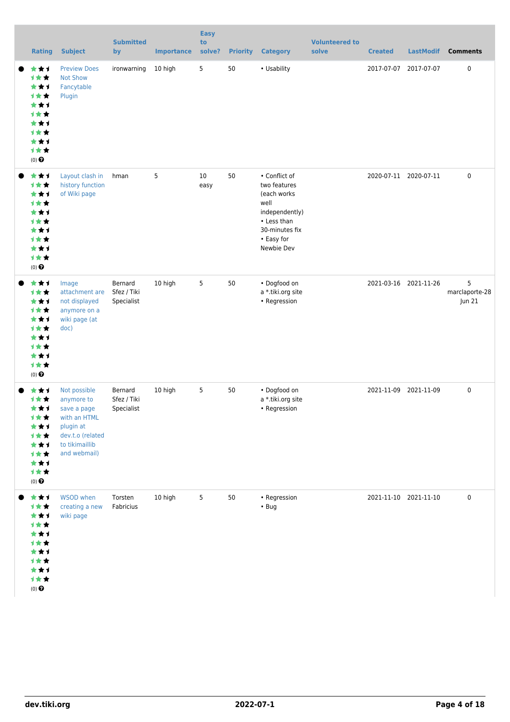| <b>Rating</b>                                                                                                                  | <b>Subject</b>                                                                                                               | <b>Submitted</b><br>by               | <b>Importance</b> | <b>Easy</b><br>to<br>solve? | <b>Priority</b> | <b>Category</b>                                                                                                                     | <b>Volunteered to</b><br>solve | <b>Created</b> | <b>LastModif</b>      | <b>Comments</b>               |
|--------------------------------------------------------------------------------------------------------------------------------|------------------------------------------------------------------------------------------------------------------------------|--------------------------------------|-------------------|-----------------------------|-----------------|-------------------------------------------------------------------------------------------------------------------------------------|--------------------------------|----------------|-----------------------|-------------------------------|
| ***<br>1 * *<br>***<br><b>1**</b><br>***<br>计女女<br>***<br>计女女<br>***<br>计女女<br>$(0)$ <sup><math>\odot</math></sup>             | <b>Preview Does</b><br><b>Not Show</b><br>Fancytable<br>Plugin                                                               | ironwarning                          | 10 high           | 5                           | 50              | • Usability                                                                                                                         |                                |                | 2017-07-07 2017-07-07 | $\pmb{0}$                     |
| ***<br>1★★<br>★★1<br><b>1**</b><br>***<br><b>1**</b><br>***<br><b>1**</b><br>***<br>计女女<br>$(0)$ <sup><math>\odot</math></sup> | Layout clash in<br>history function<br>of Wiki page                                                                          | hman                                 | 5                 | 10<br>easy                  | 50              | • Conflict of<br>two features<br>(each works<br>well<br>independently)<br>• Less than<br>30-minutes fix<br>• Easy for<br>Newbie Dev |                                |                | 2020-07-11 2020-07-11 | $\mathbf 0$                   |
| ***<br>1★★<br>***<br>1★★<br>***<br><b>1**</b><br>***<br>计女女<br>***<br>1★★<br>$(0)$ <sup><math>\odot</math></sup>               | Image<br>attachment are<br>not displayed<br>anymore on a<br>wiki page (at<br>doc)                                            | Bernard<br>Sfez / Tiki<br>Specialist | 10 high           | 5                           | 50              | • Dogfood on<br>a *.tiki.org site<br>• Regression                                                                                   |                                |                | 2021-03-16 2021-11-26 | 5<br>marclaporte-28<br>Jun 21 |
| ★★1<br>计女女<br>***<br>计女女<br>***<br>计女女<br>***<br>计女女<br>***<br>计女女<br>$(0)$ $\odot$                                            | Not possible<br>anymore to<br>save a page<br>with an HTML<br>plugin at<br>dev.t.o (related<br>to tikimaillib<br>and webmail) | Bernard<br>Sfez / Tiki<br>Specialist | 10 high           | 5                           | 50              | • Dogfood on<br>a *.tiki.org site<br>• Regression                                                                                   |                                |                | 2021-11-09 2021-11-09 | $\mathbf 0$                   |
| ***<br>计女女<br>***<br>计女女<br>***<br><b>1**</b><br>***<br>计女女<br>***<br>计女女<br>$(0)$ <sup><math>\odot</math></sup>               | <b>WSOD</b> when<br>creating a new<br>wiki page                                                                              | Torsten<br>Fabricius                 | 10 high           | 5                           | 50              | • Regression<br>$\cdot$ Bug                                                                                                         |                                |                | 2021-11-10 2021-11-10 | $\mathbf 0$                   |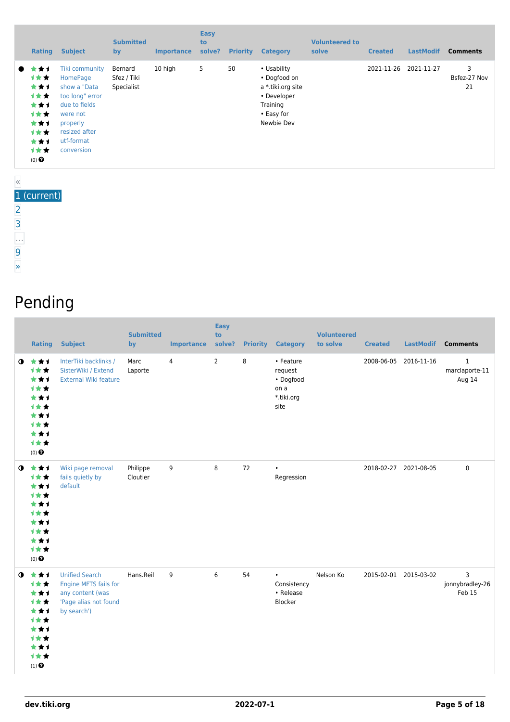|           | <b>Rating</b>                                                                                                | <b>Subject</b>                                                                                                                                             | <b>Submitted</b><br><b>by</b>        | <b>Importance</b> | <b>Easy</b><br>to<br>solve? | <b>Priority</b> | <b>Category</b>                                                                                         | <b>Volunteered to</b><br>solve | <b>Created</b> | <b>LastModif</b> | <b>Comments</b>         |
|-----------|--------------------------------------------------------------------------------------------------------------|------------------------------------------------------------------------------------------------------------------------------------------------------------|--------------------------------------|-------------------|-----------------------------|-----------------|---------------------------------------------------------------------------------------------------------|--------------------------------|----------------|------------------|-------------------------|
| $\bullet$ | * * 1<br><b>1**</b><br>***<br><b>1**</b><br>***<br>1★★<br>***<br><b>1**</b><br>***<br>1★★<br>$(0)$ $\bullet$ | <b>Tiki community</b><br>HomePage<br>show a "Data<br>too long" error<br>due to fields<br>were not<br>properly<br>resized after<br>utf-format<br>conversion | Bernard<br>Sfez / Tiki<br>Specialist | 10 high           | 5                           | 50              | • Usability<br>• Dogfood on<br>a *.tiki.org site<br>• Developer<br>Training<br>• Easy for<br>Newbie Dev |                                | 2021-11-26     | 2021-11-27       | 3<br>Bsfez-27 Nov<br>21 |

#### « 1 (current) [2](https://dev.tiki.org/tiki-print.php?page=Wiki&tr_offset1=20) [3](https://dev.tiki.org/tiki-print.php?page=Wiki&tr_offset1=40)

…

- [9](https://dev.tiki.org/tiki-print.php?page=Wiki&tr_offset1=160)
- 

[»](https://dev.tiki.org/tiki-print.php?page=Wiki&tr_offset1=20)

## Pending

| <b>Rating</b>                                                                                                        | <b>Subject</b>                                                                                             | <b>Submitted</b><br>by | <b>Importance</b> | <b>Easy</b><br>to<br>solve? |    | <b>Priority Category</b>                                        | <b>Volunteered</b><br>to solve | <b>Created</b>        | LastModif | <b>Comments</b>                          |
|----------------------------------------------------------------------------------------------------------------------|------------------------------------------------------------------------------------------------------------|------------------------|-------------------|-----------------------------|----|-----------------------------------------------------------------|--------------------------------|-----------------------|-----------|------------------------------------------|
| $0 \star \star \star$<br>***<br>***<br><b>1**</b><br>***<br><b>1**</b><br>***<br>1★★<br>***<br>计女女<br>$(0)$ $\odot$  | InterTiki backlinks /<br>SisterWiki / Extend<br><b>External Wiki feature</b>                               | Marc<br>Laporte        | $\overline{4}$    | $\overline{2}$              | 8  | • Feature<br>request<br>• Dogfood<br>on a<br>*.tiki.org<br>site |                                | 2008-06-05 2016-11-16 |           | $\mathbf{1}$<br>marclaporte-11<br>Aug 14 |
| $0 \star \star \star$<br>计女女<br>***<br><b>1**</b><br>***<br><b>1**</b><br>***<br>***<br>***<br>1★★<br>$(0)$ $\Theta$ | Wiki page removal<br>fails quietly by<br>default                                                           | Philippe<br>Cloutier   | 9                 | 8                           | 72 | $\bullet$<br>Regression                                         |                                | 2018-02-27 2021-08-05 |           | $\mathbf 0$                              |
| $0 \star \star \star$<br>***<br>***<br>***<br>***<br><b>1**</b><br>***<br>计女女<br>***<br>计女女<br>$(1)$ $\odot$         | <b>Unified Search</b><br>Engine MFTS fails for<br>any content (was<br>'Page alias not found<br>by search') | Hans.Reil              | 9                 | 6                           | 54 | $\bullet$<br>Consistency<br>• Release<br>Blocker                | Nelson Ko                      | 2015-02-01 2015-03-02 |           | 3<br>jonnybradley-26<br>Feb 15           |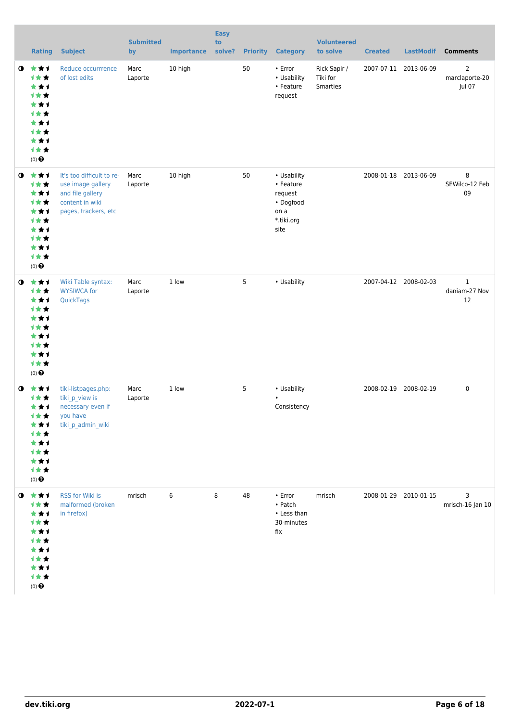|             | <b>Rating</b>                                                                                                   | <b>Subject</b>                                                                                                | <b>Submitted</b><br>by | <b>Importance</b> | <b>Easy</b><br>to<br>solve? | <b>Priority</b> | <b>Category</b>                                                                | <b>Volunteered</b><br>to solve       | <b>Created</b>        | <b>LastModif</b>      | <b>Comments</b>                            |
|-------------|-----------------------------------------------------------------------------------------------------------------|---------------------------------------------------------------------------------------------------------------|------------------------|-------------------|-----------------------------|-----------------|--------------------------------------------------------------------------------|--------------------------------------|-----------------------|-----------------------|--------------------------------------------|
| $\mathbf o$ | ***<br><b>1**</b><br>***<br><b>1**</b><br>***<br><b>1**</b><br>***<br><b>1**</b><br>***<br>计女女<br>$(0)$ $\odot$ | Reduce occurrrence<br>of lost edits                                                                           | Marc<br>Laporte        | 10 high           |                             | 50              | $\cdot$ Error<br>• Usability<br>• Feature<br>request                           | Rick Sapir /<br>Tiki for<br>Smarties |                       | 2007-07-11 2013-06-09 | $\overline{2}$<br>marclaporte-20<br>Jul 07 |
| $\bullet$   | ***<br>计女女<br>***<br>1★★<br>***<br>1★★<br>***<br><b>1**</b><br>***<br>1★★<br>$(0)$ $\odot$                      | It's too difficult to re-<br>use image gallery<br>and file gallery<br>content in wiki<br>pages, trackers, etc | Marc<br>Laporte        | 10 high           |                             | 50              | • Usability<br>• Feature<br>request<br>• Dogfood<br>on a<br>*.tiki.org<br>site |                                      |                       | 2008-01-18 2013-06-09 | 8<br>SEWilco-12 Feb<br>09                  |
| $\mathbf o$ | 大女子<br>1★★<br>***<br>1★★<br>***<br><b>1**</b><br>***<br><b>1**</b><br>***<br>1★★<br>$(0)$ $\bigodot$            | Wiki Table syntax:<br><b>WYSIWCA for</b><br>QuickTags                                                         | Marc<br>Laporte        | 1 low             |                             | 5               | • Usability                                                                    |                                      |                       | 2007-04-12 2008-02-03 | $\mathbf{1}$<br>daniam-27 Nov<br>12        |
| $\bullet$   | 食食手<br>计女女<br>***<br>计女女<br>***<br><b>1**</b><br>***<br>计女女<br>***<br>计女女<br>$(0)$<br>$\pmb{\Theta}$            | tiki-listpages.php:<br>tiki_p_view is<br>necessary even if<br>you have<br>tiki_p_admin_wiki                   | Marc<br>Laporte        | 1 low             |                             | 5               | • Usability<br>Consistency                                                     |                                      | 2008-02-19 2008-02-19 |                       | $\pmb{0}$                                  |
| $\bullet$   | 大大士<br>1★★<br>***<br><b>1**</b><br>***<br><b>1**</b><br>***<br>计女女<br>***<br>计女女<br>$(0)$ $\bigodot$            | RSS for Wiki is<br>malformed (broken<br>in firefox)                                                           | mrisch                 | 6                 | 8                           | 48              | $\cdot$ Error<br>• Patch<br>• Less than<br>30-minutes<br>fix                   | mrisch                               |                       | 2008-01-29 2010-01-15 | 3<br>mrisch-16 Jan 10                      |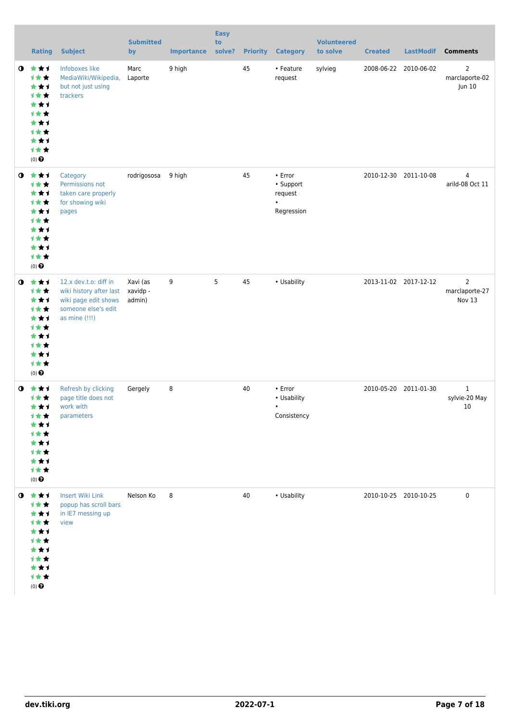|             | <b>Rating</b>                                                                                                       | <b>Subject</b>                                                                                                   | <b>Submitted</b><br>by         | <b>Importance</b> | <b>Easy</b><br>to<br>solve? |    | <b>Priority Category</b>                                         | <b>Volunteered</b><br>to solve | <b>Created</b> | <b>LastModif</b>      | <b>Comments</b>                     |
|-------------|---------------------------------------------------------------------------------------------------------------------|------------------------------------------------------------------------------------------------------------------|--------------------------------|-------------------|-----------------------------|----|------------------------------------------------------------------|--------------------------------|----------------|-----------------------|-------------------------------------|
| $\mathbf o$ | 食食す<br>1★★<br>***<br><b>1**</b><br>***<br>计女女<br>***<br><b>1**</b><br>★★1<br>1★★<br>$(0)$ $\Theta$                  | Infoboxes like<br>MediaWiki/Wikipedia,<br>but not just using<br>trackers                                         | Marc<br>Laporte                | 9 high            |                             | 45 | • Feature<br>request                                             | sylvieg                        |                | 2008-06-22 2010-06-02 | 2<br>marclaporte-02<br>Jun 10       |
| $\bullet$   | 大女士<br>计女女<br>★★1<br>计女女<br>***<br>计女女<br>***<br><b>1**</b><br>★★1<br>1★★<br>$(0)$ $\odot$                          | Category<br>Permissions not<br>taken care properly<br>for showing wiki<br>pages                                  | rodrigososa                    | 9 high            |                             | 45 | $\cdot$ Error<br>• Support<br>request<br>$\bullet$<br>Regression |                                |                | 2010-12-30 2011-10-08 | $\overline{4}$<br>arild-08 Oct 11   |
| $\mathbf o$ | 食食す<br>1★★<br>***<br>计女女<br>***<br><b>1★★</b><br>★★1<br><b>1**</b><br>***<br>计女女<br>$(0)$ $\Theta$                  | 12.x dev.t.o: diff in<br>wiki history after last<br>wiki page edit shows<br>someone else's edit<br>as mine (!!!) | Xavi (as<br>xavidp -<br>admin) | 9                 | 5                           | 45 | • Usability                                                      |                                |                | 2013-11-02 2017-12-12 | 2<br>marclaporte-27<br>Nov 13       |
|             | $0 \star \star \star$<br>***<br>***<br>计女女<br>**1<br><b>1 ★ ★</b><br>***<br>计女女<br>★★1<br>计女女<br>(0) $\pmb{\Theta}$ | Refresh by clicking<br>page title does not<br>work with<br>parameters                                            | Gergely                        | 8                 |                             | 40 | $\cdot$ Error<br>• Usability<br>$\bullet$<br>Consistency         |                                |                | 2010-05-20 2011-01-30 | $\mathbf{1}$<br>sylvie-20 May<br>10 |
|             | $0$ $\star\star\star$<br>计女女<br>***<br>计女女<br>***<br>计女女<br>★★1<br>计女女<br>★★1<br>计女女<br>$(0)$ $\Theta$              | <b>Insert Wiki Link</b><br>popup has scroll bars<br>in IE7 messing up<br>view                                    | Nelson Ko                      | 8                 |                             | 40 | • Usability                                                      |                                |                | 2010-10-25 2010-10-25 | $\pmb{0}$                           |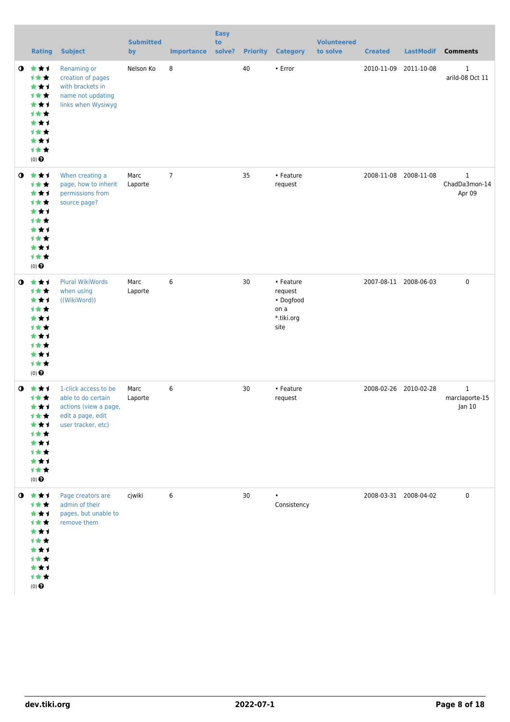|             | <b>Rating</b>                                                                                                   | <b>Subject</b>                                                                                                 | <b>Submitted</b><br>by | <b>Importance</b> | <b>Easy</b><br>to<br>solve? | <b>Priority</b> | <b>Category</b>                                                 | <b>Volunteered</b><br>to solve | <b>Created</b> | <b>LastModif</b>      | <b>Comments</b>                          |
|-------------|-----------------------------------------------------------------------------------------------------------------|----------------------------------------------------------------------------------------------------------------|------------------------|-------------------|-----------------------------|-----------------|-----------------------------------------------------------------|--------------------------------|----------------|-----------------------|------------------------------------------|
| $\bullet$   | ***<br>***<br>***<br><b>1**</b><br>***<br>1★★<br>***<br>1★★<br>★★1<br>1★★<br>$(0)$ $\Theta$                     | Renaming or<br>creation of pages<br>with brackets in<br>name not updating<br>links when Wysiwyg                | Nelson Ko              | 8                 |                             | 40              | • Error                                                         |                                | 2010-11-09     | 2011-10-08            | 1<br>arild-08 Oct 11                     |
| $\bullet$   | ***<br>计女女<br>***<br>1★★<br>***<br>1★★<br>***<br><b>1**</b><br>★★1<br>1★★<br>$(0)$ $\odot$                      | When creating a<br>page, how to inherit<br>permissions from<br>source page?                                    | Marc<br>Laporte        | $\overline{7}$    |                             | 35              | • Feature<br>request                                            |                                |                | 2008-11-08 2008-11-08 | $\mathbf{1}$<br>ChadDa3mon-14<br>Apr 09  |
| $\mathbf o$ | ***<br>1★★<br>***<br>1★★<br>***<br>计女女<br>***<br>计女女<br>***<br>1★★<br>$(0)$ $\odot$                             | <b>Plural WikiWords</b><br>when using<br>((WikiWord))                                                          | Marc<br>Laporte        | 6                 |                             | 30              | • Feature<br>request<br>• Dogfood<br>on a<br>*.tiki.org<br>site |                                |                | 2007-08-11 2008-06-03 | $\pmb{0}$                                |
| $\bullet$   | 食食手<br>1★★<br>***<br>计女女<br>***<br><b>1★★</b><br>***<br>1★★<br>***<br>计女女<br>$(0)$ $\odot$                      | 1-click access to be<br>able to do certain<br>actions (view a page,<br>edit a page, edit<br>user tracker, etc) | Marc<br>Laporte        | 6                 |                             | 30              | • Feature<br>request                                            |                                |                | 2008-02-26 2010-02-28 | $\mathbf{1}$<br>marclaporte-15<br>Jan 10 |
|             | $0$ $\star\star\star$<br>1女女<br>***<br>1★★<br>***<br>1★★<br>***<br>1★★<br>***<br>计女女<br>$(0)$<br>$\pmb{\Theta}$ | Page creators are<br>admin of their<br>pages, but unable to<br>remove them                                     | cjwiki                 | 6                 |                             | 30              | Consistency                                                     |                                |                | 2008-03-31 2008-04-02 | $\pmb{0}$                                |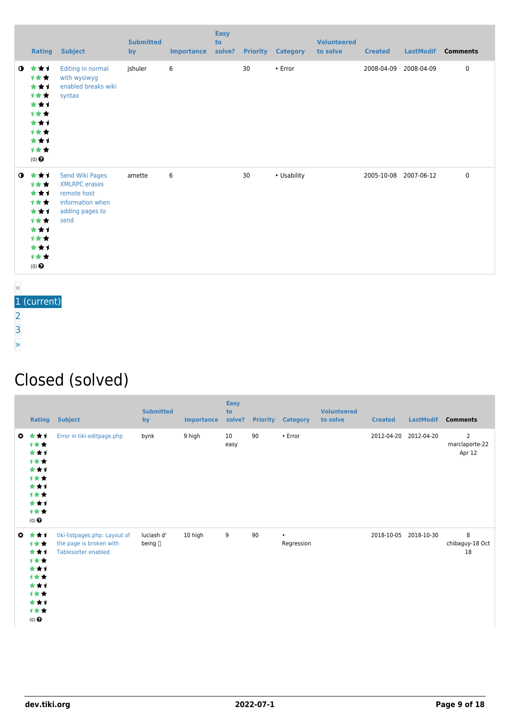|           |                                                                                        | <b>Rating Subject</b>                                                                                 | <b>Submitted</b><br>by | <b>Importance</b> | <b>Easy</b><br>to<br>solve? |    | <b>Priority Category</b> | <b>Volunteered</b><br>to solve | <b>Created</b> | <b>LastModif</b> | <b>Comments</b> |
|-----------|----------------------------------------------------------------------------------------|-------------------------------------------------------------------------------------------------------|------------------------|-------------------|-----------------------------|----|--------------------------|--------------------------------|----------------|------------------|-----------------|
| $\bullet$ | ***<br>计女女<br>***<br>计女女<br>***<br>计女女<br>***<br>计女女<br>***<br>计女女<br>$(0)$ $\bigodot$ | Editing in normal<br>with wysiwyg<br>enabled breaks wiki<br>syntax                                    | jshuler                | 6                 |                             | 30 | • Error                  |                                | 2008-04-09     | 2008-04-09       | 0               |
| $\bullet$ | ***<br>计女女<br>***<br>计女女<br>***<br>计女女<br>***<br>计女女<br>***<br>计女女<br>$(0)$ $\odot$    | Send Wiki Pages<br><b>XMLRPC</b> erases<br>remote host<br>information when<br>adding pages to<br>send | amette                 | 6                 |                             | 30 | • Usability              |                                | 2005-10-08     | 2007-06-12       | 0               |

« 1 (current)

[2](https://dev.tiki.org/tiki-print.php?page=Wiki&tr_offset2=20) [3](https://dev.tiki.org/tiki-print.php?page=Wiki&tr_offset2=40)

- 
- [»](https://dev.tiki.org/tiki-print.php?page=Wiki&tr_offset2=20)

#### Closed (solved)

| Rating                                                                                            | <b>Subject</b>                                                                  | <b>Submitted</b><br>by     | <b>Importance</b> | <b>Easy</b><br>to<br>solve? | <b>Priority</b> | <b>Category</b>         | <b>Volunteered</b><br>to solve | <b>Created</b>        | <b>LastModif</b> | <b>Comments</b>               |
|---------------------------------------------------------------------------------------------------|---------------------------------------------------------------------------------|----------------------------|-------------------|-----------------------------|-----------------|-------------------------|--------------------------------|-----------------------|------------------|-------------------------------|
| $Q \star \star I$<br>计女女<br>***<br>计女女<br>***<br>计女女<br>***<br>计女女<br>***<br>计女女<br>$(0)$ $\odot$ | Error in tiki-editpage.php                                                      | bynk                       | 9 high            | 10<br>easy                  | 90              | $\cdot$ Error           |                                | 2012-04-20 2012-04-20 |                  | 2<br>marclaporte-22<br>Apr 12 |
| ◎ ★★1<br>计女女<br>***<br>计女女<br>***<br>计女女<br>***<br>计女女<br>***<br>计女女<br>$(0)$ $\odot$             | tiki-listpages.php: Layout of<br>the page is broken with<br>Tablesorter enabled | luciash d'<br>being $\Box$ | 10 high           | 9                           | 90              | $\bullet$<br>Regression |                                | 2018-10-05 2018-10-30 |                  | 8<br>chibaguy-18 Oct<br>18    |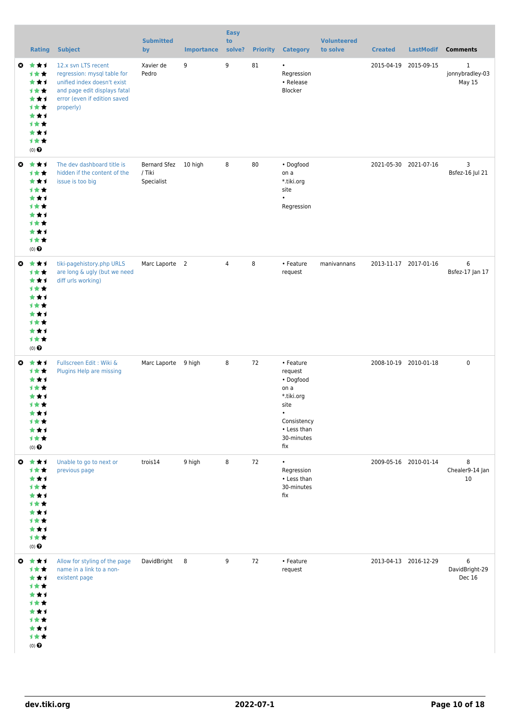|              | <b>Rating</b>                                                                                                  | <b>Subject</b>                                                                                                                                                 | <b>Submitted</b><br>by                       | <b>Importance</b> | <b>Easy</b><br>to<br>solve? |    | <b>Priority Category</b>                                                                                           | <b>Volunteered</b><br>to solve | <b>Created</b> | <b>LastModif</b>      | <b>Comments</b>                           |
|--------------|----------------------------------------------------------------------------------------------------------------|----------------------------------------------------------------------------------------------------------------------------------------------------------------|----------------------------------------------|-------------------|-----------------------------|----|--------------------------------------------------------------------------------------------------------------------|--------------------------------|----------------|-----------------------|-------------------------------------------|
|              | ◎ ★★★<br>计女女<br>***<br>计女女<br>***<br>计女女<br>***<br>计女女<br>***<br>计女女<br>$(0)$ $\odot$                          | 12.x svn LTS recent<br>regression: mysql table for<br>unified index doesn't exist<br>and page edit displays fatal<br>error (even if edition saved<br>properly) | Xavier de<br>Pedro                           | 9                 | 9                           | 81 | $\bullet$<br>Regression<br>• Release<br>Blocker                                                                    |                                |                | 2015-04-19 2015-09-15 | $\mathbf{1}$<br>jonnybradley-03<br>May 15 |
| $\bullet$    | ***<br>计女女<br>***<br>计女女<br>***<br>计女女<br>***<br>计女女<br>***<br>计女女<br>$(0)$ $\bigodot$                         | The dev dashboard title is<br>hidden if the content of the<br>issue is too big                                                                                 | Bernard Sfez 10 high<br>/ Tiki<br>Specialist |                   | 8                           | 80 | • Dogfood<br>on a<br>*.tiki.org<br>site<br>Regression                                                              |                                |                | 2021-05-30 2021-07-16 | 3<br>Bsfez-16 Jul 21                      |
|              | ◎ ★★1<br>计女女<br>***<br>计女女<br>***<br>计女女<br>***<br>计女女<br>***<br>计女女<br>$(0)$ $\odot$                          | tiki-pagehistory.php URLS<br>are long & ugly (but we need<br>diff urls working)                                                                                | Marc Laporte 2                               |                   | $\overline{4}$              | 8  | • Feature<br>request                                                                                               | manivannans                    |                | 2013-11-17 2017-01-16 | 6<br>Bsfez-17 Jan 17                      |
| $\mathbf{c}$ | ***<br>计女女<br>***<br>计女女<br>* * 1<br>计女女<br>***<br>计女女<br>***<br>计女女<br>$(0)$ $\bigodot$                       | Fullscreen Edit: Wiki &<br>Plugins Help are missing                                                                                                            | Marc Laporte 9 high                          |                   | 8                           | 72 | • Feature<br>request<br>• Dogfood<br>on a<br>*.tiki.org<br>site<br>Consistency<br>• Less than<br>30-minutes<br>fix |                                |                | 2008-10-19 2010-01-18 | $\mathbf 0$                               |
|              | $0$ $\star$ $\star$ $1$<br>计女女<br>***<br>计女女<br>***<br>计女女<br>***<br>计女女<br>***<br>计女女<br>$(0)$ $\pmb{\Theta}$ | Unable to go to next or<br>previous page                                                                                                                       | trois14                                      | 9 high            | 8                           | 72 | $\bullet$<br>Regression<br>• Less than<br>30-minutes<br>fix                                                        |                                |                | 2009-05-16 2010-01-14 | 8<br>Chealer9-14 Jan<br>10                |
|              | ◎ ★★★<br>计女女<br>***<br>计女女<br>***<br>计女女<br>***<br>计女女<br>***<br>计女女<br>$(0)$ $\odot$                          | Allow for styling of the page<br>name in a link to a non-<br>existent page                                                                                     | DavidBright 8                                |                   | 9                           | 72 | • Feature<br>request                                                                                               |                                |                | 2013-04-13 2016-12-29 | 6<br>DavidBright-29<br>Dec 16             |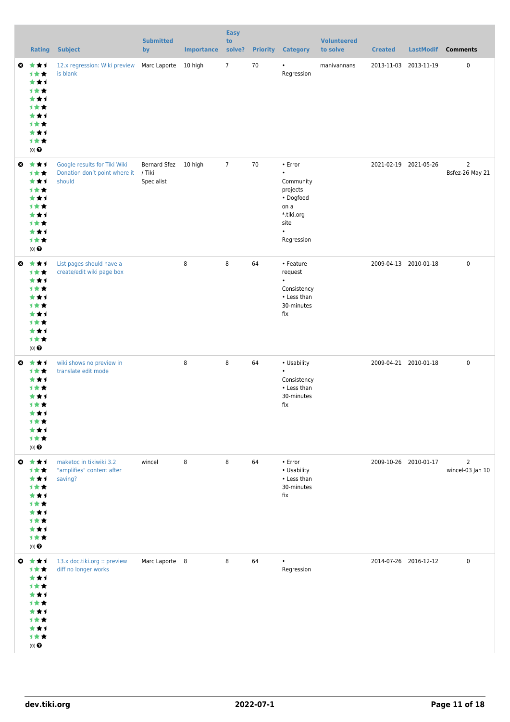|                       | Rating                                                                                                      | <b>Subject</b>                                                                 | <b>Submitted</b><br>by             | Importance | <b>Easy</b><br>to<br>solve? |    | <b>Priority Category</b>                                                                                            | <b>Volunteered</b><br>to solve | <b>Created</b> |                       | LastModif Comments                 |
|-----------------------|-------------------------------------------------------------------------------------------------------------|--------------------------------------------------------------------------------|------------------------------------|------------|-----------------------------|----|---------------------------------------------------------------------------------------------------------------------|--------------------------------|----------------|-----------------------|------------------------------------|
| ø                     | ***<br>计女女<br>***<br>计女女<br>***<br>计女女<br>***<br>计女女<br>***<br>计女女<br>$(0)$ $\pmb{\Theta}$                  | 12.x regression: Wiki preview<br>is blank                                      | Marc Laporte 10 high               |            | $7\overline{ }$             | 70 | Regression                                                                                                          | manivannans                    |                | 2013-11-03 2013-11-19 | 0                                  |
|                       | ◎ ★★1<br>计女女<br>***<br>计女女<br>***<br>计女女<br>***<br>计女女<br>***<br>计女女<br>$(0)$ <sup><math>\odot</math></sup> | Google results for Tiki Wiki<br>Donation don't point where it / Tiki<br>should | Bernard Sfez 10 high<br>Specialist |            | $\overline{7}$              | 70 | • Error<br>$\bullet$<br>Community<br>projects<br>• Dogfood<br>on a<br>*.tiki.org<br>site<br>$\bullet$<br>Regression |                                |                | 2021-02-19 2021-05-26 | $\overline{2}$<br>Bsfez-26 May 21  |
| $\bullet$             | 食食す<br>计女女<br>***<br>计女女<br>***<br>计女女<br>***<br>计女女<br>***<br>计女女<br>$(0)$ $\pmb{\Theta}$                  | List pages should have a<br>create/edit wiki page box                          |                                    | 8          | 8                           | 64 | • Feature<br>request<br>Consistency<br>• Less than<br>30-minutes<br>fix                                             |                                |                | 2009-04-13 2010-01-18 | $\pmb{0}$                          |
| O                     | ***<br>计女女<br>***<br>计女女<br>***<br>计女女<br>***<br>计女女<br>★★1<br>计女女<br>$(0)$ $\odot$                         | wiki shows no preview in<br>translate edit mode                                |                                    | 8          | 8                           | 64 | • Usability<br>$\bullet$<br>Consistency<br>• Less than<br>30-minutes<br>fix                                         |                                |                | 2009-04-21 2010-01-18 | $\mathbf 0$                        |
| $\boldsymbol{\omega}$ | 大女子<br>计女女<br>***<br>1★★<br>***<br>计女女<br>***<br>计女女<br>***<br>计女女<br>$(0)$<br>$\pmb{\Theta}$               | maketoc in tikiwiki 3.2<br>"amplifies" content after<br>saving?                | wincel                             | 8          | 8                           | 64 | $\cdot$ Error<br>• Usability<br>• Less than<br>30-minutes<br>fix                                                    |                                |                | 2009-10-26 2010-01-17 | $\overline{2}$<br>wincel-03 Jan 10 |
|                       | ◎ ★★1<br>计女女<br>***<br>计女女<br>***<br>计女女<br>***<br>计女女<br>***<br>计女女<br>$(0)$ $\bigodot$                    | 13.x doc.tiki.org :: preview<br>diff no longer works                           | Marc Laporte 8                     |            | 8                           | 64 | $\bullet$<br>Regression                                                                                             |                                |                | 2014-07-26 2016-12-12 | $\mathbf 0$                        |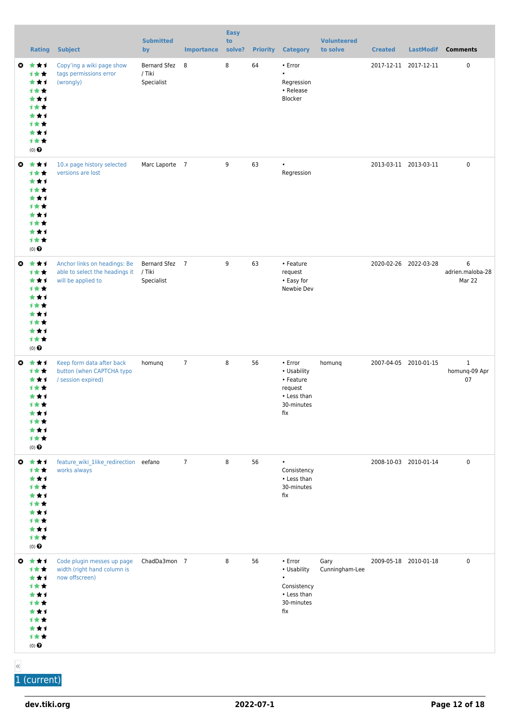|   | <b>Rating</b>                                                                                          | <b>Subject</b>                                                                       | <b>Submitted</b><br>by                 | <b>Importance</b> | <b>Easy</b><br>to<br>solve? | <b>Priority</b> | <b>Category</b>                                                                              | <b>Volunteered</b><br>to solve | <b>Created</b> | <b>LastModif</b>      | <b>Comments</b>                     |
|---|--------------------------------------------------------------------------------------------------------|--------------------------------------------------------------------------------------|----------------------------------------|-------------------|-----------------------------|-----------------|----------------------------------------------------------------------------------------------|--------------------------------|----------------|-----------------------|-------------------------------------|
|   | ◎ ★★1<br>计女女<br>***<br>计女女<br>***<br>计女女<br>***<br>计女女<br>***<br>计女女<br>$(0)$ $\Theta$                 | Copy'ing a wiki page show<br>tags permissions error<br>(wrongly)                     | Bernard Sfez 8<br>/ Tiki<br>Specialist |                   | 8                           | 64              | • Error<br>$\bullet$<br>Regression<br>• Release<br>Blocker                                   |                                |                | 2017-12-11 2017-12-11 | $\mathbf 0$                         |
| O | ***<br>计女女<br>***<br>计女女<br>***<br><b>1**</b><br>***<br>计女女<br>***<br>计女女<br>$(0)$ $\Theta$            | 10.x page history selected<br>versions are lost                                      | Marc Laporte 7                         |                   | 9                           | 63              | $\bullet$<br>Regression                                                                      |                                |                | 2013-03-11 2013-03-11 | $\mathbf 0$                         |
|   | ◎ ★★1<br>计女女<br>***<br>计女女<br>***<br>计女女<br>★★↑<br>计女女<br>***<br>计女女<br>$(0)$ $\odot$                  | Anchor links on headings: Be<br>able to select the headings it<br>will be applied to | Bernard Sfez 7<br>/ Tiki<br>Specialist |                   | 9                           | 63              | • Feature<br>request<br>• Easy for<br>Newbie Dev                                             |                                |                | 2020-02-26 2022-03-28 | 6<br>adrien.maloba-28<br>Mar 22     |
| O | 大大才<br>计女女<br>***<br>计女女<br>★★1<br>计女女<br>★★↑<br>1 * *<br>***<br>计女女<br>$(0)$ $\odot$                  | Keep form data after back<br>button (when CAPTCHA typo<br>/ session expired)         | homunq                                 | $\overline{7}$    | 8                           | 56              | • Error<br>• Usability<br>• Feature<br>request<br>• Less than<br>30-minutes<br>fix           | homunq                         |                | 2007-04-05 2010-01-15 | $\mathbf{1}$<br>homunq-09 Apr<br>07 |
|   | ◎ ★★1<br>计女女<br>***<br>计女女<br>***<br><b>1**</b><br>★★↑<br>1★★<br>***<br>计女女<br>$(0)$<br>$\pmb{\Theta}$ | feature_wiki_1like_redirection eefano<br>works always                                |                                        | $\overline{7}$    | 8                           | 56              | $\bullet$<br>Consistency<br>• Less than<br>30-minutes<br>fix                                 |                                |                | 2008-10-03 2010-01-14 | $\mathbf 0$                         |
| ◶ | 大女子<br>计女女<br>***<br>1★★<br>***<br>计女女<br>★★↑<br>计女女<br>***<br>计女女<br>$(0)$<br>$\pmb{\Theta}$          | Code plugin messes up page<br>width (right hand column is<br>now offscreen)          | ChadDa3mon 7                           |                   | 8                           | 56              | $\cdot$ Error<br>• Usability<br>$\bullet$<br>Consistency<br>• Less than<br>30-minutes<br>fix | Gary<br>Cunningham-Lee         |                | 2009-05-18 2010-01-18 | $\mathbf 0$                         |

« 1 (current)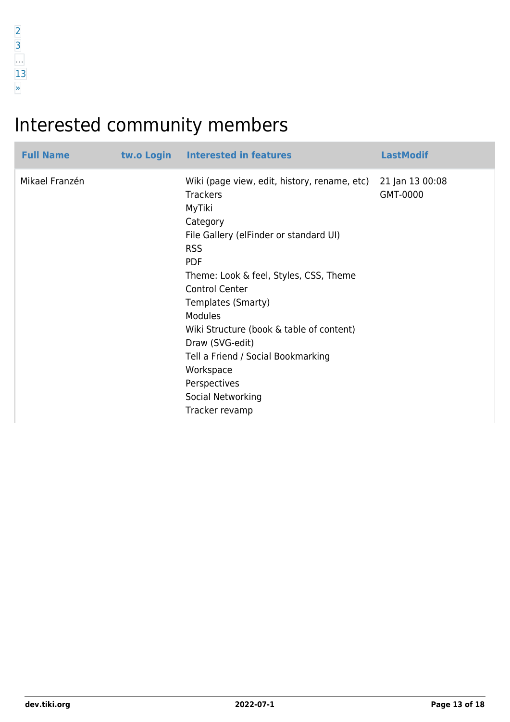## Interested community members

| <b>Full Name</b> | tw.o Login Interested in features                                                                                                                                                                                                                                                                                                                                                                                                               | <b>LastModif</b>            |
|------------------|-------------------------------------------------------------------------------------------------------------------------------------------------------------------------------------------------------------------------------------------------------------------------------------------------------------------------------------------------------------------------------------------------------------------------------------------------|-----------------------------|
| Mikael Franzén   | Wiki (page view, edit, history, rename, etc)<br><b>Trackers</b><br>MyTiki<br>Category<br>File Gallery (elFinder or standard UI)<br><b>RSS</b><br><b>PDF</b><br>Theme: Look & feel, Styles, CSS, Theme<br><b>Control Center</b><br>Templates (Smarty)<br><b>Modules</b><br>Wiki Structure (book & table of content)<br>Draw (SVG-edit)<br>Tell a Friend / Social Bookmarking<br>Workspace<br>Perspectives<br>Social Networking<br>Tracker revamp | 21 Jan 13 00:08<br>GMT-0000 |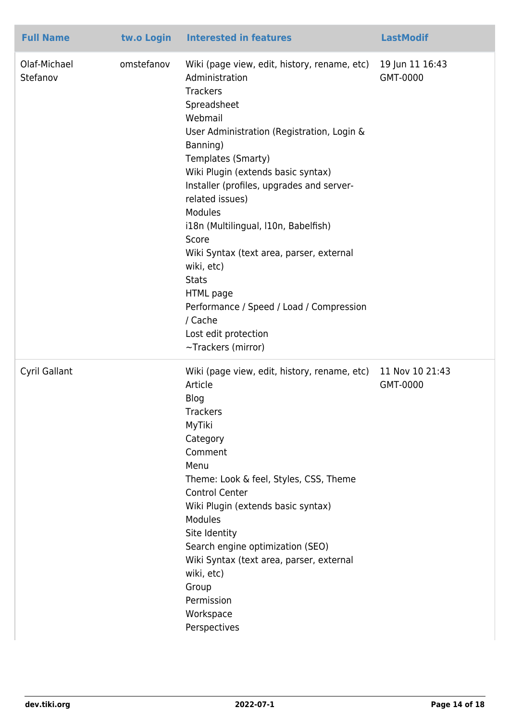| <b>Full Name</b>         | tw.o Login | <b>Interested in features</b>                                                                                                                                                                                                                                                                                                                                                                                                                                                                                                                             | <b>LastModif</b>            |
|--------------------------|------------|-----------------------------------------------------------------------------------------------------------------------------------------------------------------------------------------------------------------------------------------------------------------------------------------------------------------------------------------------------------------------------------------------------------------------------------------------------------------------------------------------------------------------------------------------------------|-----------------------------|
| Olaf-Michael<br>Stefanov | omstefanov | Wiki (page view, edit, history, rename, etc)<br>Administration<br><b>Trackers</b><br>Spreadsheet<br>Webmail<br>User Administration (Registration, Login &<br>Banning)<br>Templates (Smarty)<br>Wiki Plugin (extends basic syntax)<br>Installer (profiles, upgrades and server-<br>related issues)<br>Modules<br>i18n (Multilingual, I10n, Babelfish)<br>Score<br>Wiki Syntax (text area, parser, external<br>wiki, etc)<br><b>Stats</b><br>HTML page<br>Performance / Speed / Load / Compression<br>/ Cache<br>Lost edit protection<br>~Trackers (mirror) | 19 Jun 11 16:43<br>GMT-0000 |
| Cyril Gallant            |            | Wiki (page view, edit, history, rename, etc)<br>Article<br>Blog<br>Trackers<br>MyTiki<br>Category<br>Comment<br>Menu<br>Theme: Look & feel, Styles, CSS, Theme<br><b>Control Center</b><br>Wiki Plugin (extends basic syntax)<br>Modules<br>Site Identity<br>Search engine optimization (SEO)<br>Wiki Syntax (text area, parser, external<br>wiki, etc)<br>Group<br>Permission<br>Workspace<br>Perspectives                                                                                                                                               | 11 Nov 10 21:43<br>GMT-0000 |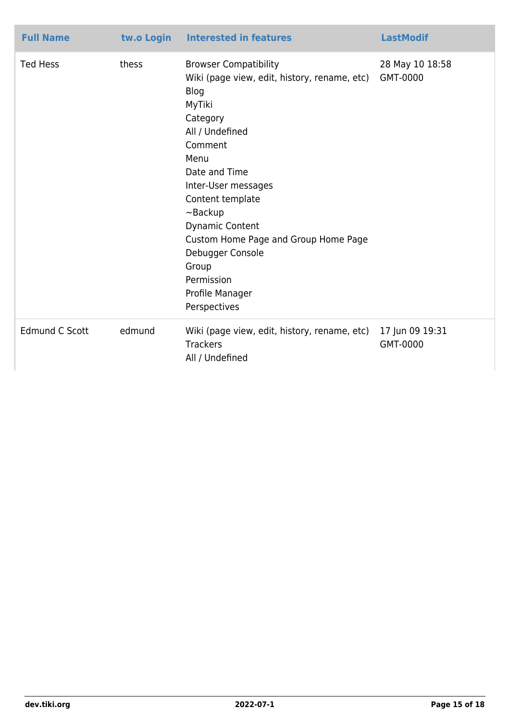| <b>Full Name</b>      | tw.o Login | <b>Interested in features</b>                                                                                                                                                                                                                                                                                                                                          | <b>LastModif</b>            |
|-----------------------|------------|------------------------------------------------------------------------------------------------------------------------------------------------------------------------------------------------------------------------------------------------------------------------------------------------------------------------------------------------------------------------|-----------------------------|
| <b>Ted Hess</b>       | thess      | <b>Browser Compatibility</b><br>Wiki (page view, edit, history, rename, etc)<br>Blog<br>MyTiki<br>Category<br>All / Undefined<br>Comment<br>Menu<br>Date and Time<br>Inter-User messages<br>Content template<br>$\neg$ Backup<br>Dynamic Content<br>Custom Home Page and Group Home Page<br>Debugger Console<br>Group<br>Permission<br>Profile Manager<br>Perspectives | 28 May 10 18:58<br>GMT-0000 |
| <b>Edmund C Scott</b> | edmund     | Wiki (page view, edit, history, rename, etc)<br><b>Trackers</b><br>All / Undefined                                                                                                                                                                                                                                                                                     | 17 Jun 09 19:31<br>GMT-0000 |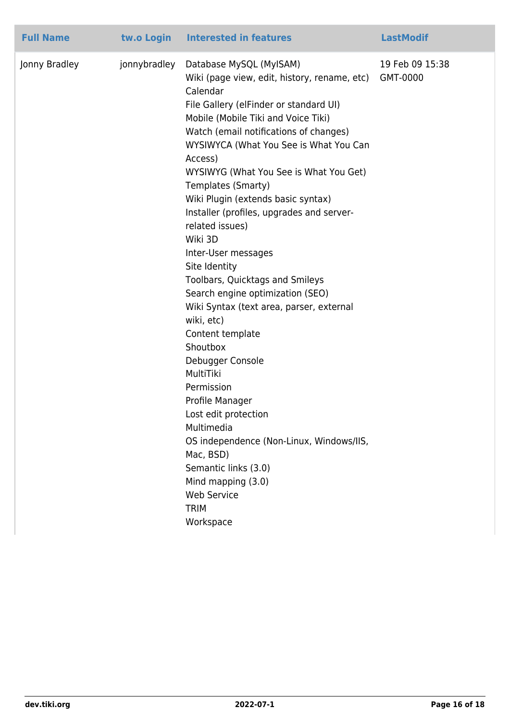| <b>Full Name</b> | tw.o Login Interested in features                                                                                                                                                                                                                                                                                                                                                                                                                                                                                                                     |                                                                                                                                                                                                                                                                                                                                                           | <b>LastModif</b>            |
|------------------|-------------------------------------------------------------------------------------------------------------------------------------------------------------------------------------------------------------------------------------------------------------------------------------------------------------------------------------------------------------------------------------------------------------------------------------------------------------------------------------------------------------------------------------------------------|-----------------------------------------------------------------------------------------------------------------------------------------------------------------------------------------------------------------------------------------------------------------------------------------------------------------------------------------------------------|-----------------------------|
| Jonny Bradley    | jonnybradley<br>Database MySQL (MyISAM)<br>Calendar<br>Mobile (Mobile Tiki and Voice Tiki)<br>Access)<br>Templates (Smarty)<br>Wiki Plugin (extends basic syntax)<br>related issues)<br>Wiki 3D<br>Inter-User messages<br>Site Identity<br>Toolbars, Quicktags and Smileys<br>Search engine optimization (SEO)<br>wiki, etc)<br>Content template<br>Shoutbox<br>Debugger Console<br>MultiTiki<br>Permission<br>Profile Manager<br>Lost edit protection<br>Multimedia<br>Mac, BSD)<br>Semantic links (3.0)<br>Mind mapping (3.0)<br><b>Web Service</b> | Wiki (page view, edit, history, rename, etc)<br>File Gallery (elFinder or standard UI)<br>Watch (email notifications of changes)<br>WYSIWYCA (What You See is What You Can<br>WYSIWYG (What You See is What You Get)<br>Installer (profiles, upgrades and server-<br>Wiki Syntax (text area, parser, external<br>OS independence (Non-Linux, Windows/IIS, | 19 Feb 09 15:38<br>GMT-0000 |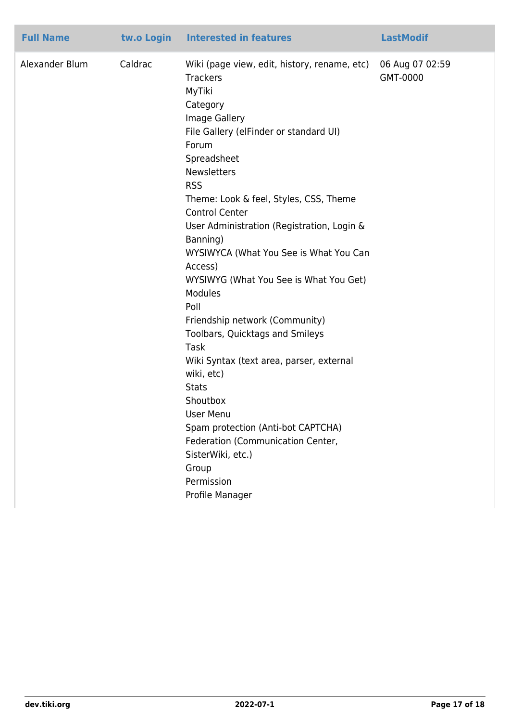| <b>Full Name</b> | tw.o Login | <b>Interested in features</b>                                                                                                                                                                                                                                                                                                                                                                                                                                                                                                                                                                                                                                                                                                                                             | <b>LastModif</b>            |
|------------------|------------|---------------------------------------------------------------------------------------------------------------------------------------------------------------------------------------------------------------------------------------------------------------------------------------------------------------------------------------------------------------------------------------------------------------------------------------------------------------------------------------------------------------------------------------------------------------------------------------------------------------------------------------------------------------------------------------------------------------------------------------------------------------------------|-----------------------------|
| Alexander Blum   | Caldrac    | Wiki (page view, edit, history, rename, etc)<br><b>Trackers</b><br>MyTiki<br>Category<br>Image Gallery<br>File Gallery (elFinder or standard UI)<br>Forum<br>Spreadsheet<br><b>Newsletters</b><br><b>RSS</b><br>Theme: Look & feel, Styles, CSS, Theme<br><b>Control Center</b><br>User Administration (Registration, Login &<br>Banning)<br>WYSIWYCA (What You See is What You Can<br>Access)<br>WYSIWYG (What You See is What You Get)<br>Modules<br>Poll<br>Friendship network (Community)<br>Toolbars, Quicktags and Smileys<br><b>Task</b><br>Wiki Syntax (text area, parser, external<br>wiki, etc)<br><b>Stats</b><br>Shoutbox<br>User Menu<br>Spam protection (Anti-bot CAPTCHA)<br>Federation (Communication Center,<br>SisterWiki, etc.)<br>Group<br>Permission | 06 Aug 07 02:59<br>GMT-0000 |
|                  |            | Profile Manager                                                                                                                                                                                                                                                                                                                                                                                                                                                                                                                                                                                                                                                                                                                                                           |                             |